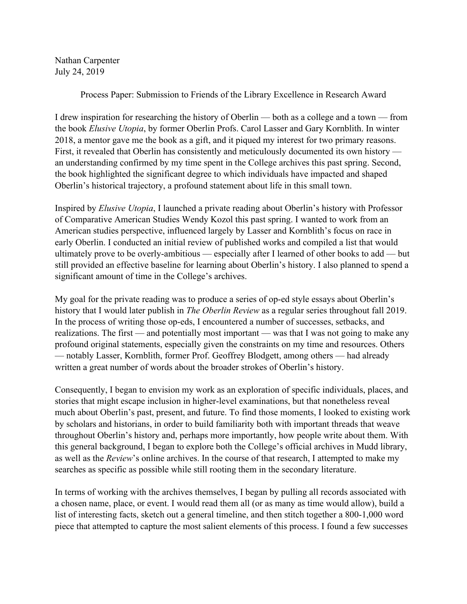Nathan Carpenter July 24, 2019

Process Paper: Submission to Friends of the Library Excellence in Research Award

I drew inspiration for researching the history of Oberlin — both as a college and a town — from the book *Elusive Utopia*, by former Oberlin Profs. Carol Lasser and Gary Kornblith. In winter 2018, a mentor gave me the book as a gift, and it piqued my interest for two primary reasons. First, it revealed that Oberlin has consistently and meticulously documented its own history an understanding confirmed by my time spent in the College archives this past spring. Second, the book highlighted the significant degree to which individuals have impacted and shaped Oberlin's historical trajectory, a profound statement about life in this small town.

Inspired by *Elusive Utopia*, I launched a private reading about Oberlin's history with Professor of Comparative American Studies Wendy Kozol this past spring. I wanted to work from an American studies perspective, influenced largely by Lasser and Kornblith's focus on race in early Oberlin. I conducted an initial review of published works and compiled a list that would ultimately prove to be overly-ambitious — especially after I learned of other books to add — but still provided an effective baseline for learning about Oberlin's history. I also planned to spend a significant amount of time in the College's archives.

My goal for the private reading was to produce a series of op-ed style essays about Oberlin's history that I would later publish in *The Oberlin Review* as a regular series throughout fall 2019. In the process of writing those op-eds, I encountered a number of successes, setbacks, and realizations. The first — and potentially most important — was that I was not going to make any profound original statements, especially given the constraints on my time and resources. Others — notably Lasser, Kornblith, former Prof. Geoffrey Blodgett, among others — had already written a great number of words about the broader strokes of Oberlin's history.

Consequently, I began to envision my work as an exploration of specific individuals, places, and stories that might escape inclusion in higher-level examinations, but that nonetheless reveal much about Oberlin's past, present, and future. To find those moments, I looked to existing work by scholars and historians, in order to build familiarity both with important threads that weave throughout Oberlin's history and, perhaps more importantly, how people write about them. With this general background, I began to explore both the College's official archives in Mudd library, as well as the *Review*'s online archives. In the course of that research, I attempted to make my searches as specific as possible while still rooting them in the secondary literature.

In terms of working with the archives themselves, I began by pulling all records associated with a chosen name, place, or event. I would read them all (or as many as time would allow), build a list of interesting facts, sketch out a general timeline, and then stitch together a 800-1,000 word piece that attempted to capture the most salient elements of this process. I found a few successes